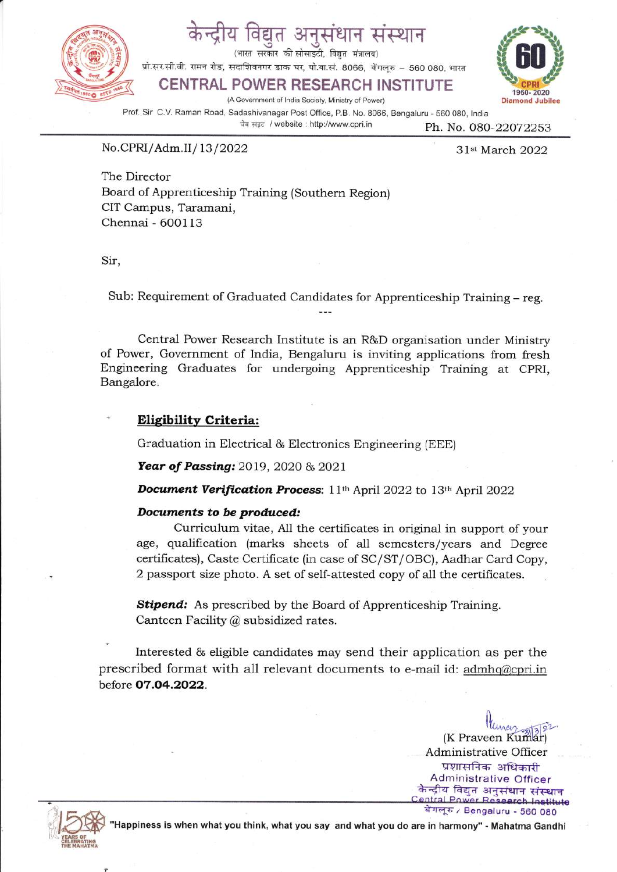

# विद्युत अनुसंधान संस्थान

(भारत सरकार की सोसाइटी, विद्यत मंत्रालय)

प्रो.सर.सी.वी. रामन रोड, सदाशिवनगर डाक घर, पो.बा.सं. 8066, बेंगलूरु – 560 080, भारत

### CENTRAL POWER RESEARCH INSTITUTE

(A Govemment of lndia Society, Ministry of Power) Diamond Jubilee

 $\boldsymbol{\mathsf{U}}$ 

Prof. Sir C.V. Raman Road, Sadashivanagar Post Office, P.B. No. 8066, Bengaluru - 560 080, lndia  $\frac{1}{n^4}$  at example of  $\frac{1}{n^4}$  website: http://www.cpri.in  $\frac{1}{n}$  Ph. No. 080-22072253

No.CPRI/Adm.II/13/2022 31st March 2022

The Director Board of Apprenticeship Training (Southern Region) CIT Campus, Taramani, Chennai - 600113

Sir,

Sub: Requirement of Graduated Candidates for Apprenticeship Training - reg.

Central Power Research Institute is an R&D organisation under Ministry of Power, Government of India, Bengaluru is inviting applications from fresh Engineering Graduates for undergoing Apprenticeship Training at CPRI, Bangalore.

#### Elisibility Criteria:

Graduation in Electrical & Electronics Engineering (EEE)

Year of Passing: 2019, 2020 & 2021

Document Verification Process: 11th April 2022 to 13th April 2022

#### Documents to be produced:

Curriculum vitae, A11 the certificates in original in support of your age, qualification (marks sheets of all semesters/years and Degree certificates), Caste Certificate (in case of SC/ST/OBC), Aadhar Card Copy, 2 passport size photo. A set of self-attested copy of all the certificates.

**Stipend:** As prescribed by the Board of Apprenticeship Training. Canteen Facility @ subsidized rates.

Interested & eligible candidates may send their application as per the prescribed format with all relevant documents to e-mail id: admhq@cpri.in before 07.O4.2O22.

> (K Praveen Kumar) Administrative Oflicer प्रशासनिक अधिकारी Administrative Officer<br>- केन्द्रीय विद्युत अनुसंधान संस्थान<br>Central Power Research Institut बेंगलूरु / Bengaluru - 560 080



Happiness is when what you think, what you say and what you do are in harmony" - Mahatma Gandhi